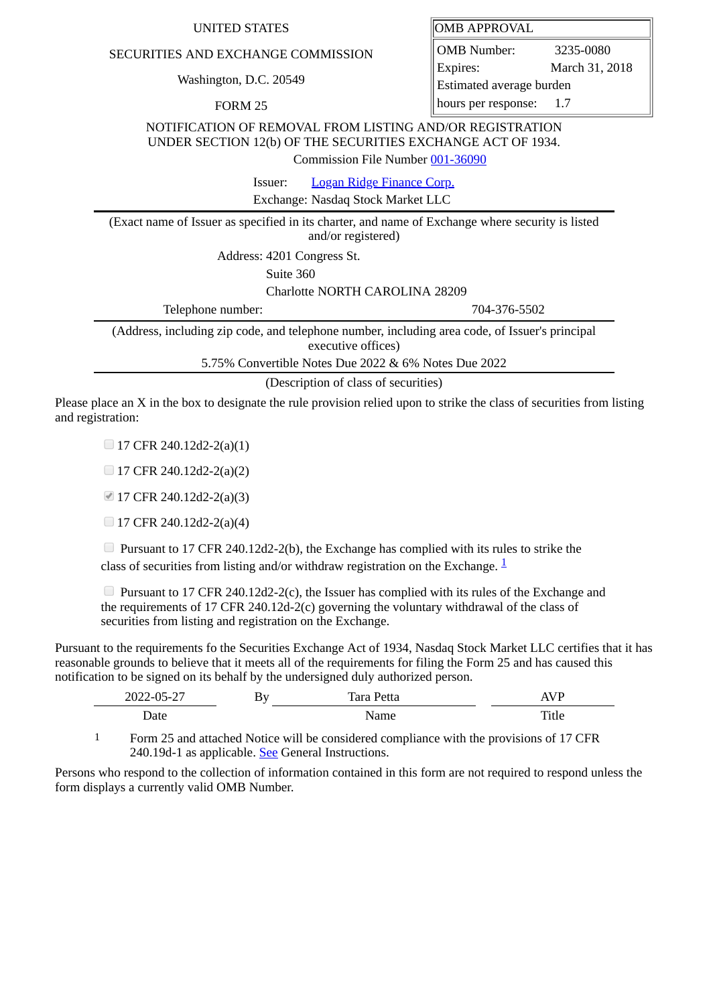## UNITED STATES **OMB** APPROVAL

## SECURITIES AND EXCHANGE COMMISSION

Washington, D.C. 20549

FORM 25

OMB Number: 3235-0080 Expires: March 31, 2018 Estimated average burden hours per response: 1.7

NOTIFICATION OF REMOVAL FROM LISTING AND/OR REGISTRATION UNDER SECTION 12(b) OF THE SECURITIES EXCHANGE ACT OF 1934.

Commission File Number [001-36090](file:///cgi-bin/browse-edgar?action=getcompany&filenum=001-36090)

Issuer: [Logan Ridge Finance Corp.](http://www.sec.gov/cgi-bin/browse-edgar?action=getcompany&CIK=0001571329)

Exchange: Nasdaq Stock Market LLC

(Exact name of Issuer as specified in its charter, and name of Exchange where security is listed and/or registered)

Address: 4201 Congress St.

Suite 360

Charlotte NORTH CAROLINA 28209

Telephone number: 704-376-5502

(Address, including zip code, and telephone number, including area code, of Issuer's principal executive offices)

5.75% Convertible Notes Due 2022 & 6% Notes Due 2022

(Description of class of securities)

Please place an X in the box to designate the rule provision relied upon to strike the class of securities from listing and registration:

 $\Box$  17 CFR 240.12d2-2(a)(1)

 $\Box$  17 CFR 240.12d2-2(a)(2)

■ 17 CFR 240.12d2-2(a)(3)

 $\Box$  17 CFR 240.12d2-2(a)(4)

**Pursuant to 17 CFR 240.12d2-2(b), the Exchange has complied with its rules to strike the** class of securities from listing and/or withdraw registration on the Exchange.  $\frac{1}{2}$  $\frac{1}{2}$  $\frac{1}{2}$ 

**Pursuant to 17 CFR 240.12d2-2(c), the Issuer has complied with its rules of the Exchange and** the requirements of 17 CFR 240.12d-2(c) governing the voluntary withdrawal of the class of securities from listing and registration on the Exchange.

Pursuant to the requirements fo the Securities Exchange Act of 1934, Nasdaq Stock Market LLC certifies that it has reasonable grounds to believe that it meets all of the requirements for filing the Form 25 and has caused this notification to be signed on its behalf by the undersigned duly authorized person.

| דר בח ררחר<br>ำ–<br>$\sim$ $\sim$ $\sim$<br>2022-<br>ົບບ<br>— <i>—</i> | BУ<br>— | $\overline{ }$<br>Petta<br>hro l<br>ταια | T<br>ΛV |
|------------------------------------------------------------------------|---------|------------------------------------------|---------|
| Date                                                                   |         | Name                                     | Title   |

<span id="page-0-0"></span>1 Form 25 and attached Notice will be considered compliance with the provisions of 17 CFR 240.19d-1 as applicable. See General Instructions.

Persons who respond to the collection of information contained in this form are not required to respond unless the form displays a currently valid OMB Number.